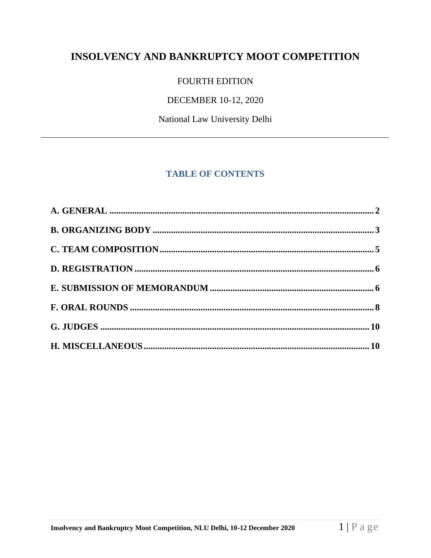# INSOLVENCY AND BANKRUPTCY MOOT COMPETITION

## FOURTH EDITION

## DECEMBER 10-12, 2020

National Law University Delhi

# **TABLE OF CONTENTS**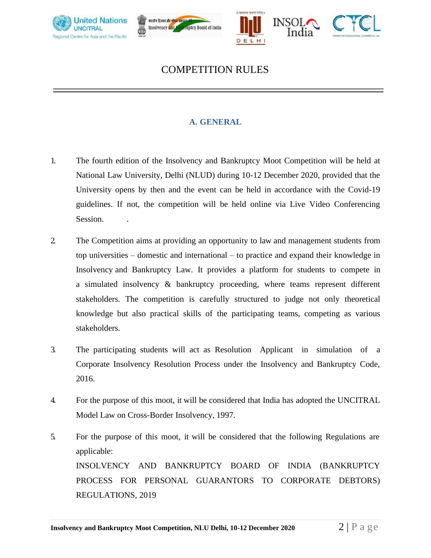





# COMPETITION RULES

## **A. GENERAL**

- <span id="page-1-0"></span>1. The fourth edition of the Insolvency and Bankruptcy Moot Competition will be held at National Law University, Delhi (NLUD) during 10-12 December 2020, provided that the University opens by then and the event can be held in accordance with the Covid-19 guidelines. If not, the competition will be held online via Live Video Conferencing Session.
- 2. The Competition aims at providing an opportunity to law and management students from top universities – domestic and international – to practice and expand their knowledge in Insolvency and Bankruptcy Law. It provides a platform for students to compete in a simulated insolvency & bankruptcy proceeding, where teams represent different stakeholders. The competition is carefully structured to judge not only theoretical knowledge but also practical skills of the participating teams, competing as various stakeholders.
- 3. The participating students will act as Resolution Applicant in simulation of a Corporate Insolvency Resolution Process under the Insolvency and Bankruptcy Code, 2016.
- 4. For the purpose of this moot, it will be considered that India has adopted the UNCITRAL Model Law on Cross-Border Insolvency, 1997.
- 5. For the purpose of this moot, it will be considered that the following Regulations are applicable: INSOLVENCY AND BANKRUPTCY BOARD OF INDIA (BANKRUPTCY PROCESS FOR PERSONAL GUARANTORS TO CORPORATE DEBTORS) REGULATIONS, 2019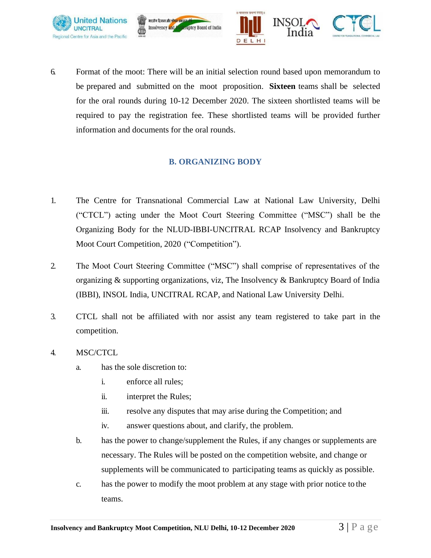



6. Format of the moot: There will be an initial selection round based upon memorandum to be prepared and submitted on the moot proposition. **Sixteen** teams shall be selected for the oral rounds during 10-12 December 2020. The sixteen shortlisted teams will be required to pay the registration fee. These shortlisted teams will be provided further information and documents for the oral rounds.

मारतीय दिवाला और <mark>शोषत अक्ष</mark>

Insolvency and

#### **B. ORGANIZING BODY**

- <span id="page-2-0"></span>1. The Centre for Transnational Commercial Law at National Law University, Delhi ("CTCL") acting under the Moot Court Steering Committee ("MSC") shall be the Organizing Body for the NLUD-IBBI-UNCITRAL RCAP Insolvency and Bankruptcy Moot Court Competition, 2020 ("Competition").
- 2. The Moot Court Steering Committee ("MSC") shall comprise of representatives of the organizing & supporting organizations, viz, The Insolvency & Bankruptcy Board of India (IBBI), INSOL India, UNCITRAL RCAP, and National Law University Delhi.
- 3. CTCL shall not be affiliated with nor assist any team registered to take part in the competition.
- 4. MSC/CTCL
	- a. has the sole discretion to:
		- i. enforce all rules;
		- ii. interpret the Rules;
		- iii. resolve any disputes that may arise during the Competition; and
		- iv. answer questions about, and clarify, the problem.
	- b. has the power to change/supplement the Rules, if any changes or supplements are necessary. The Rules will be posted on the competition website, and change or supplements will be communicated to participating teams as quickly as possible.
	- c. has the power to modify the moot problem at any stage with prior notice to the teams.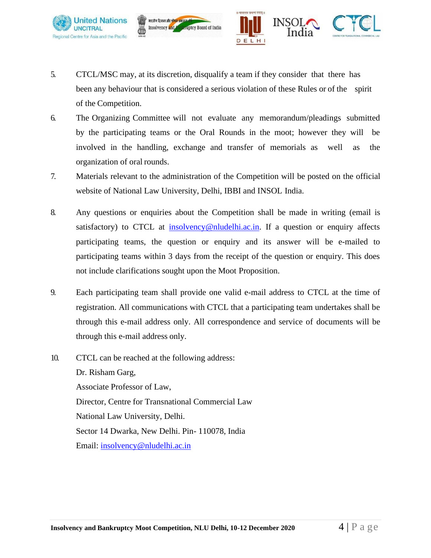



5. CTCL/MSC may, at its discretion, disqualify a team if they consider that there has been any behaviour that is considered a serious violation of these Rules or of the spirit of the Competition.

मारतीय दिवाला और श्री**पत** अध

Insolvency and

- 6. The Organizing Committee will not evaluate any memorandum/pleadings submitted by the participating teams or the Oral Rounds in the moot; however they will be involved in the handling, exchange and transfer of memorials as well as the organization of oral rounds.
- 7. Materials relevant to the administration of the Competition will be posted on the official website of National Law University, Delhi, IBBI and INSOL India.
- 8. Any questions or enquiries about the Competition shall be made in writing (email is satisfactory) to CTCL at [insolvency@nludelhi.ac.in.](mailto:insolvency@nludelhi.ac.in) If a question or enquiry affects participating teams, the question or enquiry and its answer will be e-mailed to participating teams within 3 days from the receipt of the question or enquiry. This does not include clarifications sought upon the Moot Proposition.
- 9. Each participating team shall provide one valid e-mail address to CTCL at the time of registration. All communications with CTCL that a participating team undertakes shall be through this e-mail address only. All correspondence and service of documents will be through this e-mail address only.
- 10. CTCL can be reached at the following address: Dr. Risham Garg, Associate Professor of Law, Director, Centre for Transnational Commercial Law National Law University, Delhi. Sector 14 Dwarka, New Delhi. Pin- 110078, India Email: [insolvency@nludelhi.ac.in](mailto:insolvency@nludelhi.ac.in)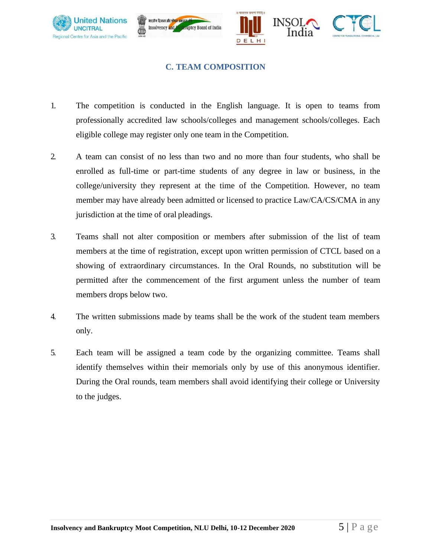





#### **C. TEAM COMPOSITION**

- <span id="page-4-0"></span>1. The competition is conducted in the English language. It is open to teams from professionally accredited law schools/colleges and management schools/colleges. Each eligible college may register only one team in the Competition.
- 2. A team can consist of no less than two and no more than four students, who shall be enrolled as full-time or part-time students of any degree in law or business, in the college/university they represent at the time of the Competition. However, no team member may have already been admitted or licensed to practice Law/CA/CS/CMA in any jurisdiction at the time of oral pleadings.
- 3. Teams shall not alter composition or members after submission of the list of team members at the time of registration, except upon written permission of CTCL based on a showing of extraordinary circumstances. In the Oral Rounds, no substitution will be permitted after the commencement of the first argument unless the number of team members drops below two.
- 4. The written submissions made by teams shall be the work of the student team members only.
- 5. Each team will be assigned a team code by the organizing committee. Teams shall identify themselves within their memorials only by use of this anonymous identifier. During the Oral rounds, team members shall avoid identifying their college or University to the judges.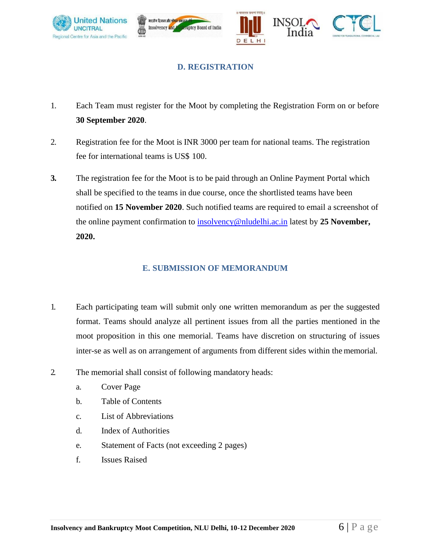





### **D. REGISTRATION**

- <span id="page-5-0"></span>1. Each Team must register for the Moot by completing the Registration Form on or before **30 September 2020**.
- 2. Registration fee for the Moot is INR 3000 per team for national teams. The registration fee for international teams is US\$ 100.
- **3.** The registration fee for the Moot is to be paid through an Online Payment Portal which shall be specified to the teams in due course, once the shortlisted teams have been notified on **15 November 2020**. Such notified teams are required to email a screenshot of the online payment confirmation to [insolvency@nludelhi.ac.in](mailto:insolvency@nludelhi.ac.in) latest by **25 November, 2020.**

#### **E. SUBMISSION OF MEMORANDUM**

- <span id="page-5-1"></span>1. Each participating team will submit only one written memorandum as per the suggested format. Teams should analyze all pertinent issues from all the parties mentioned in the moot proposition in this one memorial. Teams have discretion on structuring of issues inter-se as well as on arrangement of arguments from different sides within the memorial.
- 2. The memorial shall consist of following mandatory heads:
	- a. Cover Page
	- b. Table of Contents
	- c. List of Abbreviations
	- d. Index of Authorities
	- e. Statement of Facts (not exceeding 2 pages)
	- f. Issues Raised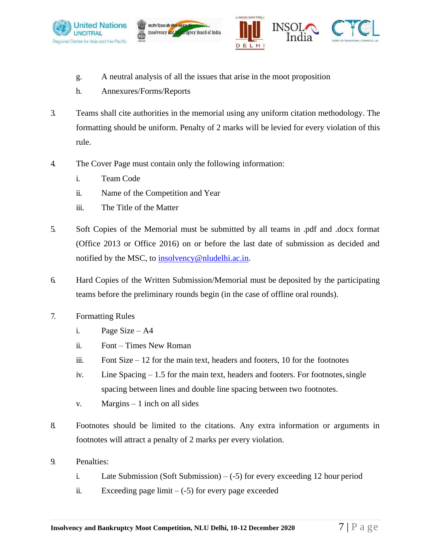





- g. A neutral analysis of all the issues that arise in the moot proposition
- h. Annexures/Forms/Reports
- 3. Teams shall cite authorities in the memorial using any uniform citation methodology. The formatting should be uniform. Penalty of 2 marks will be levied for every violation of this rule.
- 4. The Cover Page must contain only the following information:
	- i. Team Code
	- ii. Name of the Competition and Year
	- iii. The Title of the Matter
- 5. Soft Copies of the Memorial must be submitted by all teams in .pdf and .docx format (Office 2013 or Office 2016) on or before the last date of submission as decided and notified by the MSC, to [insolvency@nludelhi.ac.in.](mailto:insolvency@nludelhi.ac.in)
- 6. Hard Copies of the Written Submission/Memorial must be deposited by the participating teams before the preliminary rounds begin (in the case of offline oral rounds).
- 7. Formatting Rules
	- i. Page Size A4
	- ii. Font Times New Roman
	- iii. Font Size  $-12$  for the main text, headers and footers, 10 for the footnotes
	- iv. Line Spacing  $-1.5$  for the main text, headers and footers. For footnotes, single spacing between lines and double line spacing between two footnotes.
	- v. Margins  $-1$  inch on all sides
- 8. Footnotes should be limited to the citations. Any extra information or arguments in footnotes will attract a penalty of 2 marks per every violation.
- 9. Penalties:
	- i. Late Submission (Soft Submission) (-5) for every exceeding 12 hour period
	- ii. Exceeding page limit  $-(-5)$  for every page exceeded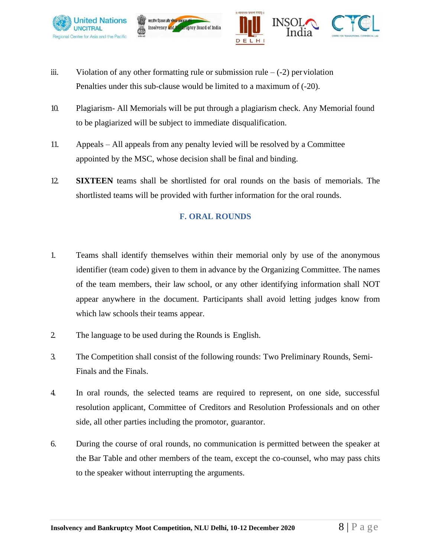



iii. Violation of any other formatting rule or submission rule  $-(-2)$  per violation Penalties under this sub-clause would be limited to a maximum of (-20).

ruptcy Board of India

मारतीय दिवाला और <mark>शोषन अक्ष</mark>ु

Insolvency and

- 10. Plagiarism- All Memorials will be put through a plagiarism check. Any Memorial found to be plagiarized will be subject to immediate disqualification.
- 11. Appeals All appeals from any penalty levied will be resolved by a Committee appointed by the MSC, whose decision shall be final and binding.
- <span id="page-7-0"></span>12. **SIXTEEN** teams shall be shortlisted for oral rounds on the basis of memorials. The shortlisted teams will be provided with further information for the oral rounds.

#### **F. ORAL ROUNDS**

- 1. Teams shall identify themselves within their memorial only by use of the anonymous identifier (team code) given to them in advance by the Organizing Committee. The names of the team members, their law school, or any other identifying information shall NOT appear anywhere in the document. Participants shall avoid letting judges know from which law schools their teams appear.
- 2. The language to be used during the Rounds is English.
- 3. The Competition shall consist of the following rounds: Two Preliminary Rounds, Semi-Finals and the Finals.
- 4. In oral rounds, the selected teams are required to represent, on one side, successful resolution applicant, Committee of Creditors and Resolution Professionals and on other side, all other parties including the promotor, guarantor.
- 6. During the course of oral rounds, no communication is permitted between the speaker at the Bar Table and other members of the team, except the co-counsel, who may pass chits to the speaker without interrupting the arguments.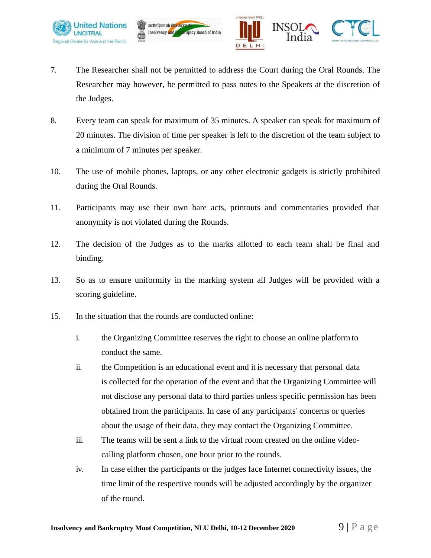



7. The Researcher shall not be permitted to address the Court during the Oral Rounds. The Researcher may however, be permitted to pass notes to the Speakers at the discretion of the Judges.

मारतीय दिवाला और शोषन अक्षर

Insolvency and

- 8. Every team can speak for maximum of 35 minutes. A speaker can speak for maximum of 20 minutes. The division of time per speaker is left to the discretion of the team subject to a minimum of 7 minutes per speaker.
- 10. The use of mobile phones, laptops, or any other electronic gadgets is strictly prohibited during the Oral Rounds.
- 11. Participants may use their own bare acts, printouts and commentaries provided that anonymity is not violated during the Rounds.
- 12. The decision of the Judges as to the marks allotted to each team shall be final and binding.
- 13. So as to ensure uniformity in the marking system all Judges will be provided with a scoring guideline.
- 15. In the situation that the rounds are conducted online:
	- i. the Organizing Committee reserves the right to choose an online platform to conduct the same.
	- ii. the Competition is an educational event and it is necessary that personal data is collected for the operation of the event and that the Organizing Committee will not disclose any personal data to third parties unless specific permission has been obtained from the participants. In case of any participants" concerns or queries about the usage of their data, they may contact the Organizing Committee.
	- iii. The teams will be sent a link to the virtual room created on the online videocalling platform chosen, one hour prior to the rounds.
	- iv. In case either the participants or the judges face Internet connectivity issues, the time limit of the respective rounds will be adjusted accordingly by the organizer of the round.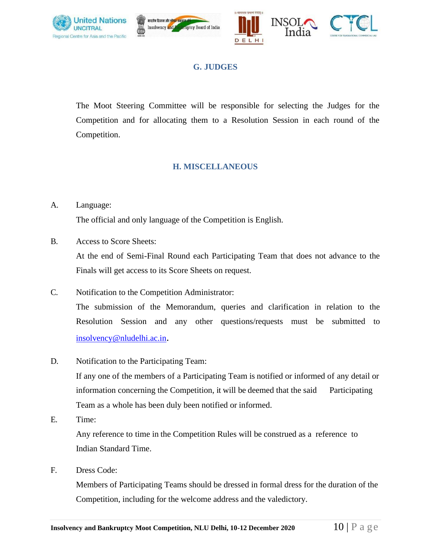<span id="page-9-0"></span>





## **G. JUDGES**

The Moot Steering Committee will be responsible for selecting the Judges for the Competition and for allocating them to a Resolution Session in each round of the Competition.

#### **H. MISCELLANEOUS**

#### <span id="page-9-1"></span>A. Language:

The official and only language of the Competition is English.

B. Access to Score Sheets:

At the end of Semi-Final Round each Participating Team that does not advance to the Finals will get access to its Score Sheets on request.

- C. Notification to the Competition Administrator: The submission of the Memorandum, queries and clarification in relation to the Resolution Session and any other questions/requests must be submitted to [insolvency@nludelhi.ac.in](mailto:insolvency@nludelhi.ac.in).
- D. Notification to the Participating Team:

If any one of the members of a Participating Team is notified or informed of any detail or information concerning the Competition, it will be deemed that the said Participating Team as a whole has been duly been notified or informed.

E. Time:

Any reference to time in the Competition Rules will be construed as a reference to Indian Standard Time.

F. Dress Code:

Members of Participating Teams should be dressed in formal dress for the duration of the Competition, including for the welcome address and the valedictory.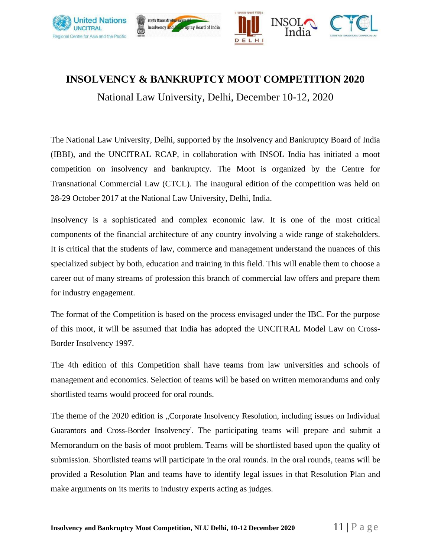





# **INSOLVENCY & BANKRUPTCY MOOT COMPETITION 2020**

National Law University, Delhi, December 10-12, 2020

The National Law University, Delhi, supported by the Insolvency and Bankruptcy Board of India (IBBI), and the UNCITRAL RCAP, in collaboration with INSOL India has initiated a moot competition on insolvency and bankruptcy. The Moot is organized by the Centre for Transnational Commercial Law (CTCL). The inaugural edition of the competition was held on 28-29 October 2017 at the National Law University, Delhi, India.

Insolvency is a sophisticated and complex economic law. It is one of the most critical components of the financial architecture of any country involving a wide range of stakeholders. It is critical that the students of law, commerce and management understand the nuances of this specialized subject by both, education and training in this field. This will enable them to choose a career out of many streams of profession this branch of commercial law offers and prepare them for industry engagement.

The format of the Competition is based on the process envisaged under the IBC. For the purpose of this moot, it will be assumed that India has adopted the UNCITRAL Model Law on Cross-Border Insolvency 1997.

The 4th edition of this Competition shall have teams from law universities and schools of management and economics. Selection of teams will be based on written memorandums and only shortlisted teams would proceed for oral rounds.

The theme of the 2020 edition is "Corporate Insolvency Resolution, including issues on Individual Guarantors and Cross-Border Insolvency". The participating teams will prepare and submit a Memorandum on the basis of moot problem. Teams will be shortlisted based upon the quality of submission. Shortlisted teams will participate in the oral rounds. In the oral rounds, teams will be provided a Resolution Plan and teams have to identify legal issues in that Resolution Plan and make arguments on its merits to industry experts acting as judges.